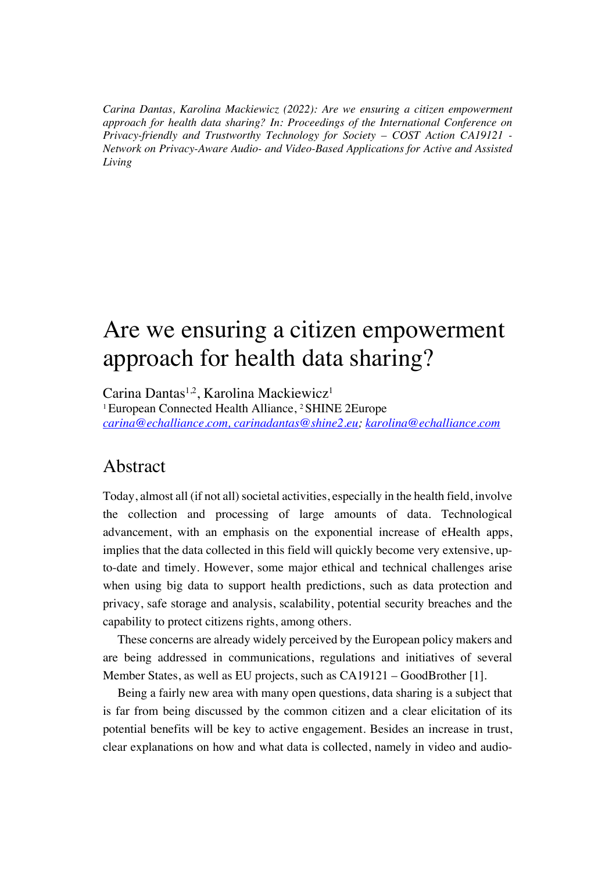*Carina Dantas, Karolina Mackiewicz (2022): Are we ensuring a citizen empowerment approach for health data sharing? In: Proceedings of the International Conference on Privacy-friendly and Trustworthy Technology for Society – COST Action CA19121 - Network on Privacy-Aware Audio- and Video-Based Applications for Active and Assisted Living*

# Are we ensuring a citizen empowerment approach for health data sharing?

Carina Dantas<sup>1,2</sup>, Karolina Mackiewicz<sup>1</sup> 1 European Connected Health Alliance, 2 SHINE 2Europe *carina@echalliance.com, carinadantas@shine2.eu; karolina@echalliance.com*

### Abstract

Today, almost all (if not all) societal activities, especially in the health field, involve the collection and processing of large amounts of data. Technological advancement, with an emphasis on the exponential increase of eHealth apps, implies that the data collected in this field will quickly become very extensive, upto-date and timely. However, some major ethical and technical challenges arise when using big data to support health predictions, such as data protection and privacy, safe storage and analysis, scalability, potential security breaches and the capability to protect citizens rights, among others.

These concerns are already widely perceived by the European policy makers and are being addressed in communications, regulations and initiatives of several Member States, as well as EU projects, such as CA19121 – GoodBrother [1].

Being a fairly new area with many open questions, data sharing is a subject that is far from being discussed by the common citizen and a clear elicitation of its potential benefits will be key to active engagement. Besides an increase in trust, clear explanations on how and what data is collected, namely in video and audio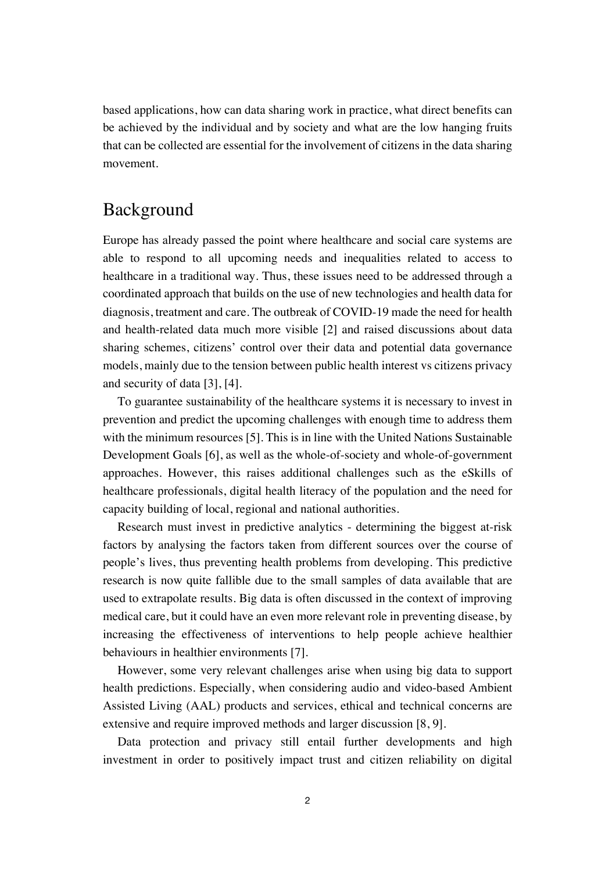based applications, how can data sharing work in practice, what direct benefits can be achieved by the individual and by society and what are the low hanging fruits that can be collected are essential for the involvement of citizens in the data sharing movement.

#### Background

Europe has already passed the point where healthcare and social care systems are able to respond to all upcoming needs and inequalities related to access to healthcare in a traditional way. Thus, these issues need to be addressed through a coordinated approach that builds on the use of new technologies and health data for diagnosis, treatment and care. The outbreak of COVID-19 made the need for health and health-related data much more visible [2] and raised discussions about data sharing schemes, citizens' control over their data and potential data governance models, mainly due to the tension between public health interest vs citizens privacy and security of data [3], [4].

To guarantee sustainability of the healthcare systems it is necessary to invest in prevention and predict the upcoming challenges with enough time to address them with the minimum resources [5]. This is in line with the United Nations Sustainable Development Goals [6], as well as the whole-of-society and whole-of-government approaches. However, this raises additional challenges such as the eSkills of healthcare professionals, digital health literacy of the population and the need for capacity building of local, regional and national authorities.

Research must invest in predictive analytics - determining the biggest at-risk factors by analysing the factors taken from different sources over the course of people's lives, thus preventing health problems from developing. This predictive research is now quite fallible due to the small samples of data available that are used to extrapolate results. Big data is often discussed in the context of improving medical care, but it could have an even more relevant role in preventing disease, by increasing the effectiveness of interventions to help people achieve healthier behaviours in healthier environments [7].

However, some very relevant challenges arise when using big data to support health predictions. Especially, when considering audio and video-based Ambient Assisted Living (AAL) products and services, ethical and technical concerns are extensive and require improved methods and larger discussion [8, 9].

Data protection and privacy still entail further developments and high investment in order to positively impact trust and citizen reliability on digital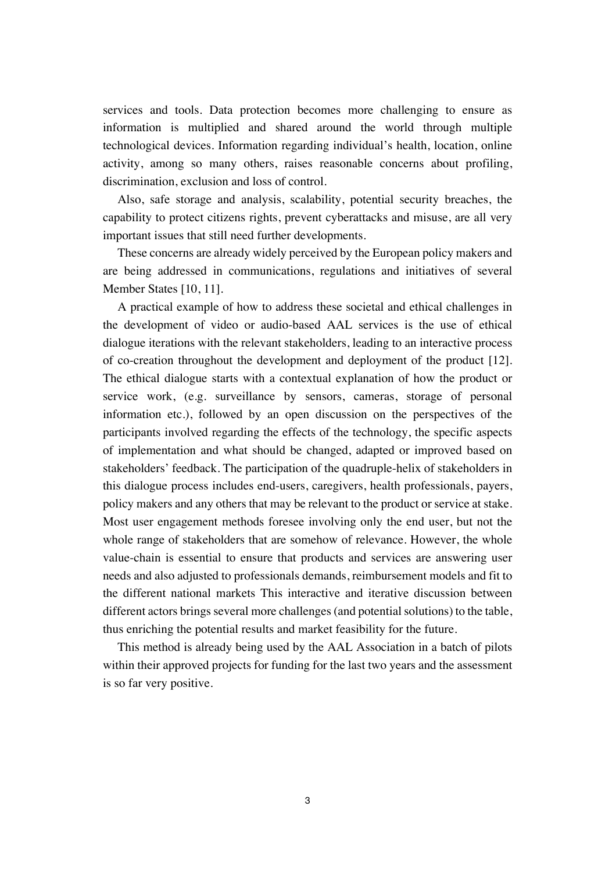services and tools. Data protection becomes more challenging to ensure as information is multiplied and shared around the world through multiple technological devices. Information regarding individual's health, location, online activity, among so many others, raises reasonable concerns about profiling, discrimination, exclusion and loss of control.

Also, safe storage and analysis, scalability, potential security breaches, the capability to protect citizens rights, prevent cyberattacks and misuse, are all very important issues that still need further developments.

These concerns are already widely perceived by the European policy makers and are being addressed in communications, regulations and initiatives of several Member States [10, 11].

A practical example of how to address these societal and ethical challenges in the development of video or audio-based AAL services is the use of ethical dialogue iterations with the relevant stakeholders, leading to an interactive process of co-creation throughout the development and deployment of the product [12]. The ethical dialogue starts with a contextual explanation of how the product or service work, (e.g. surveillance by sensors, cameras, storage of personal information etc.), followed by an open discussion on the perspectives of the participants involved regarding the effects of the technology, the specific aspects of implementation and what should be changed, adapted or improved based on stakeholders' feedback. The participation of the quadruple-helix of stakeholders in this dialogue process includes end-users, caregivers, health professionals, payers, policy makers and any others that may be relevant to the product or service at stake. Most user engagement methods foresee involving only the end user, but not the whole range of stakeholders that are somehow of relevance. However, the whole value-chain is essential to ensure that products and services are answering user needs and also adjusted to professionals demands, reimbursement models and fit to the different national markets This interactive and iterative discussion between different actors brings several more challenges (and potential solutions) to the table, thus enriching the potential results and market feasibility for the future.

This method is already being used by the AAL Association in a batch of pilots within their approved projects for funding for the last two years and the assessment is so far very positive.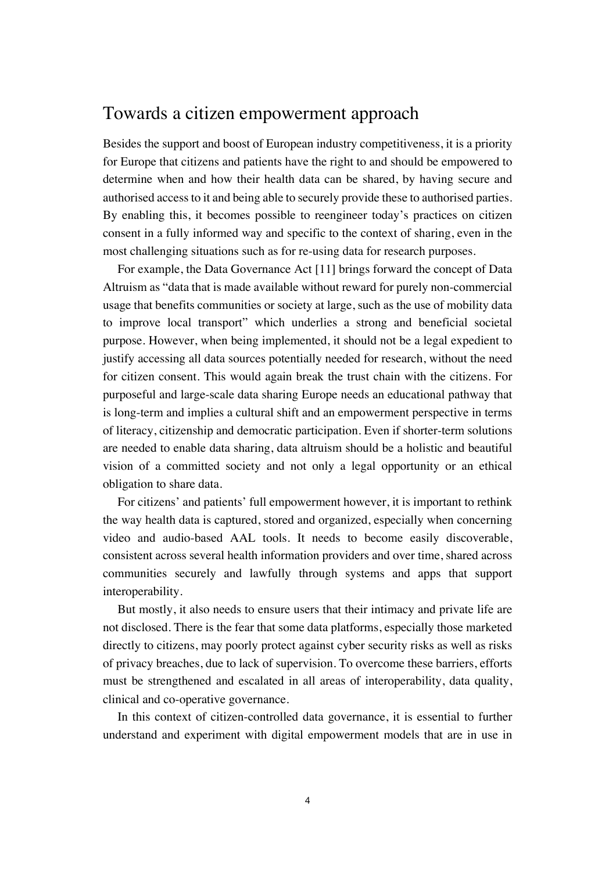#### Towards a citizen empowerment approach

Besides the support and boost of European industry competitiveness, it is a priority for Europe that citizens and patients have the right to and should be empowered to determine when and how their health data can be shared, by having secure and authorised access to it and being able to securely provide these to authorised parties. By enabling this, it becomes possible to reengineer today's practices on citizen consent in a fully informed way and specific to the context of sharing, even in the most challenging situations such as for re-using data for research purposes.

For example, the Data Governance Act [11] brings forward the concept of Data Altruism as "data that is made available without reward for purely non-commercial usage that benefits communities or society at large, such as the use of mobility data to improve local transport" which underlies a strong and beneficial societal purpose. However, when being implemented, it should not be a legal expedient to justify accessing all data sources potentially needed for research, without the need for citizen consent. This would again break the trust chain with the citizens. For purposeful and large-scale data sharing Europe needs an educational pathway that is long-term and implies a cultural shift and an empowerment perspective in terms of literacy, citizenship and democratic participation. Even if shorter-term solutions are needed to enable data sharing, data altruism should be a holistic and beautiful vision of a committed society and not only a legal opportunity or an ethical obligation to share data.

For citizens' and patients' full empowerment however, it is important to rethink the way health data is captured, stored and organized, especially when concerning video and audio-based AAL tools. It needs to become easily discoverable, consistent across several health information providers and over time, shared across communities securely and lawfully through systems and apps that support interoperability.

But mostly, it also needs to ensure users that their intimacy and private life are not disclosed. There is the fear that some data platforms, especially those marketed directly to citizens, may poorly protect against cyber security risks as well as risks of privacy breaches, due to lack of supervision. To overcome these barriers, efforts must be strengthened and escalated in all areas of interoperability, data quality, clinical and co-operative governance.

In this context of citizen-controlled data governance, it is essential to further understand and experiment with digital empowerment models that are in use in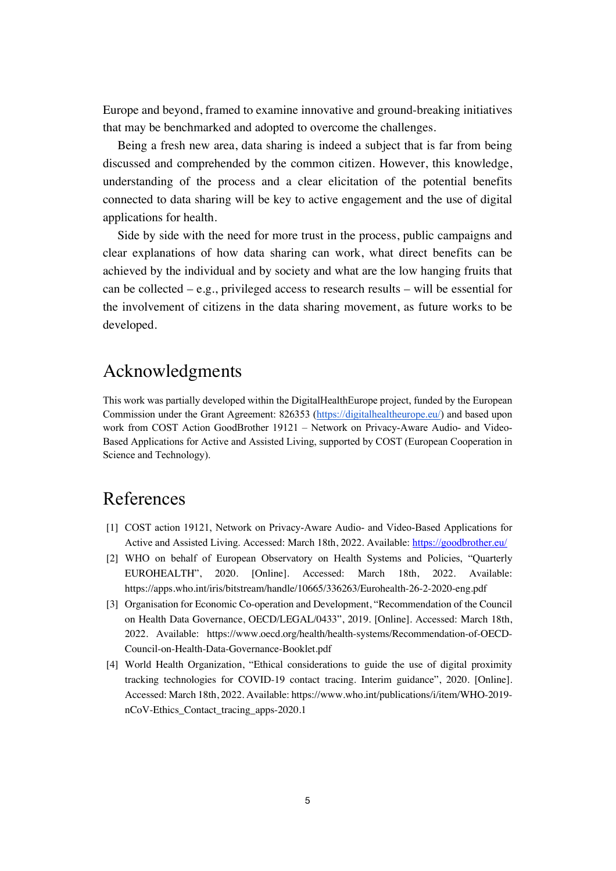Europe and beyond, framed to examine innovative and ground-breaking initiatives that may be benchmarked and adopted to overcome the challenges.

Being a fresh new area, data sharing is indeed a subject that is far from being discussed and comprehended by the common citizen. However, this knowledge, understanding of the process and a clear elicitation of the potential benefits connected to data sharing will be key to active engagement and the use of digital applications for health.

Side by side with the need for more trust in the process, public campaigns and clear explanations of how data sharing can work, what direct benefits can be achieved by the individual and by society and what are the low hanging fruits that can be collected – e.g., privileged access to research results – will be essential for the involvement of citizens in the data sharing movement, as future works to be developed.

## Acknowledgments

This work was partially developed within the DigitalHealthEurope project, funded by the European Commission under the Grant Agreement: 826353 (https://digitalhealtheurope.eu/) and based upon work from COST Action GoodBrother 19121 – Network on Privacy-Aware Audio- and Video-Based Applications for Active and Assisted Living, supported by COST (European Cooperation in Science and Technology).

# References

- [1] COST action 19121, Network on Privacy-Aware Audio- and Video-Based Applications for Active and Assisted Living. Accessed: March 18th, 2022. Available: https://goodbrother.eu/
- [2] WHO on behalf of European Observatory on Health Systems and Policies, "Quarterly EUROHEALTH", 2020. [Online]. Accessed: March 18th, 2022. Available: https://apps.who.int/iris/bitstream/handle/10665/336263/Eurohealth-26-2-2020-eng.pdf
- [3] Organisation for Economic Co-operation and Development, "Recommendation of the Council on Health Data Governance, OECD/LEGAL/0433", 2019. [Online]. Accessed: March 18th, 2022. Available: https://www.oecd.org/health/health-systems/Recommendation-of-OECD-Council-on-Health-Data-Governance-Booklet.pdf
- [4] World Health Organization, "Ethical considerations to guide the use of digital proximity tracking technologies for COVID-19 contact tracing. Interim guidance", 2020. [Online]. Accessed: March 18th, 2022. Available: https://www.who.int/publications/i/item/WHO-2019 nCoV-Ethics\_Contact\_tracing\_apps-2020.1